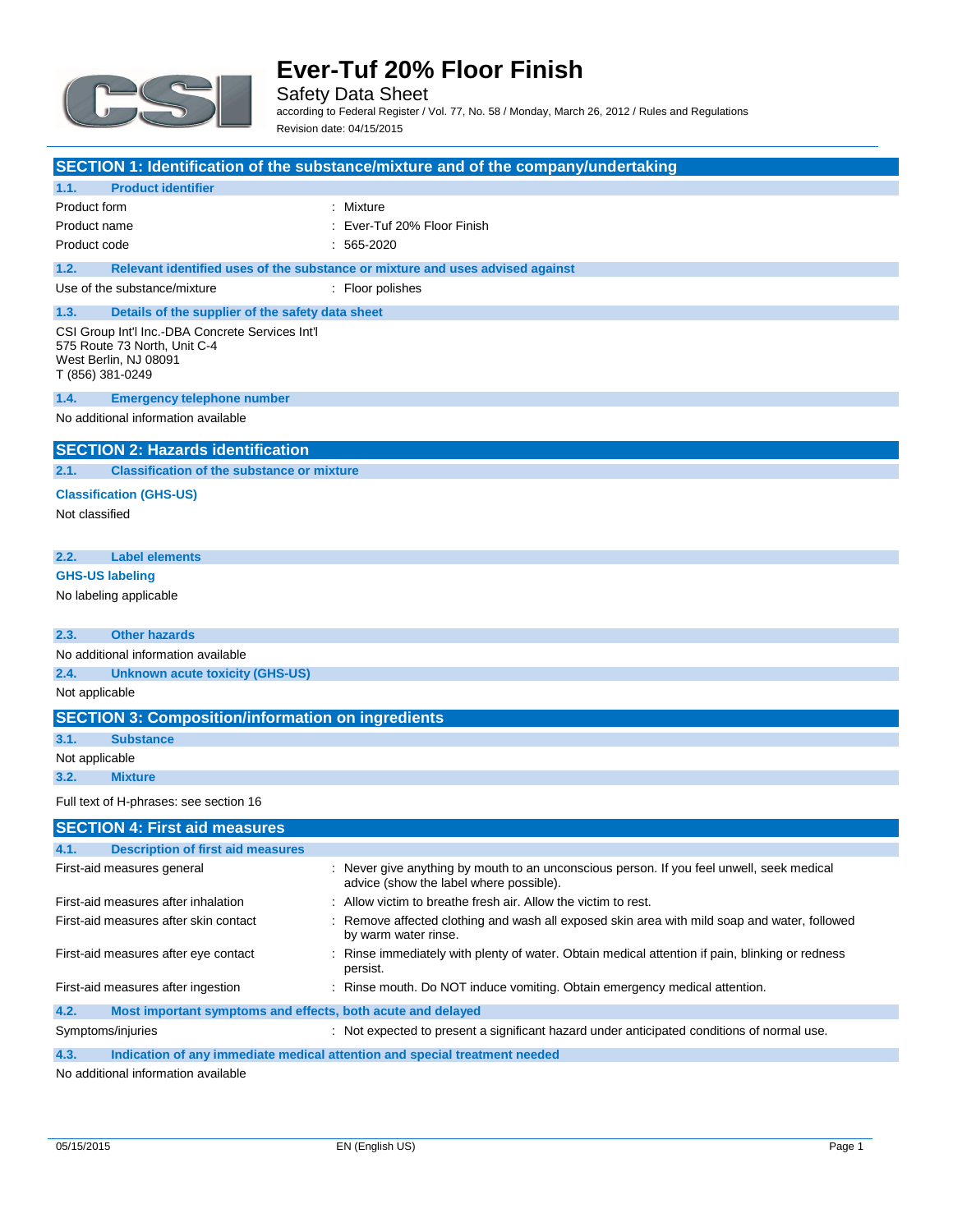

Safety Data Sheet according to Federal Register / Vol. 77, No. 58 / Monday, March 26, 2012 / Rules and Regulations Revision date: 04/15/2015

|                                                                                                                               | SECTION 1: Identification of the substance/mixture and of the company/undertaking                                                    |
|-------------------------------------------------------------------------------------------------------------------------------|--------------------------------------------------------------------------------------------------------------------------------------|
| 1.1.<br><b>Product identifier</b>                                                                                             |                                                                                                                                      |
| Product form                                                                                                                  | : Mixture                                                                                                                            |
| Product name                                                                                                                  | Ever-Tuf 20% Floor Finish                                                                                                            |
| Product code                                                                                                                  | $: 565-2020$                                                                                                                         |
| 1.2.                                                                                                                          | Relevant identified uses of the substance or mixture and uses advised against                                                        |
| Use of the substance/mixture                                                                                                  | : Floor polishes                                                                                                                     |
| 1.3.<br>Details of the supplier of the safety data sheet                                                                      |                                                                                                                                      |
| CSI Group Int'l Inc.-DBA Concrete Services Int'l<br>575 Route 73 North, Unit C-4<br>West Berlin, NJ 08091<br>T (856) 381-0249 |                                                                                                                                      |
| 1.4.<br><b>Emergency telephone number</b>                                                                                     |                                                                                                                                      |
| No additional information available                                                                                           |                                                                                                                                      |
| <b>SECTION 2: Hazards identification</b>                                                                                      |                                                                                                                                      |
| 2.1.<br><b>Classification of the substance or mixture</b>                                                                     |                                                                                                                                      |
| <b>Classification (GHS-US)</b>                                                                                                |                                                                                                                                      |
| Not classified                                                                                                                |                                                                                                                                      |
| 2.2.<br><b>Label elements</b>                                                                                                 |                                                                                                                                      |
|                                                                                                                               |                                                                                                                                      |
| <b>GHS-US labeling</b>                                                                                                        |                                                                                                                                      |
| No labeling applicable                                                                                                        |                                                                                                                                      |
| <b>Other hazards</b><br>2.3.                                                                                                  |                                                                                                                                      |
| No additional information available                                                                                           |                                                                                                                                      |
| 2.4.<br>Unknown acute toxicity (GHS-US)                                                                                       |                                                                                                                                      |
| Not applicable                                                                                                                |                                                                                                                                      |
| <b>SECTION 3: Composition/information on ingredients</b>                                                                      |                                                                                                                                      |
| 3.1.<br><b>Substance</b>                                                                                                      |                                                                                                                                      |
| Not applicable                                                                                                                |                                                                                                                                      |
| 3.2.<br><b>Mixture</b>                                                                                                        |                                                                                                                                      |
| Full text of H-phrases: see section 16                                                                                        |                                                                                                                                      |
| <b>SECTION 4: First aid measures</b>                                                                                          |                                                                                                                                      |
| 4.1.<br><b>Description of first aid measures</b>                                                                              |                                                                                                                                      |
| First-aid measures general                                                                                                    | : Never give anything by mouth to an unconscious person. If you feel unwell, seek medical<br>advice (show the label where possible). |
| First-aid measures after inhalation                                                                                           | : Allow victim to breathe fresh air. Allow the victim to rest.                                                                       |
| First-aid measures after skin contact                                                                                         | Remove affected clothing and wash all exposed skin area with mild soap and water, followed<br>by warm water rinse.                   |
| First-aid measures after eye contact                                                                                          | : Rinse immediately with plenty of water. Obtain medical attention if pain, blinking or redness<br>persist.                          |
| First-aid measures after ingestion                                                                                            | : Rinse mouth. Do NOT induce vomiting. Obtain emergency medical attention.                                                           |
| 4.2.<br>Most important symptoms and effects, both acute and delayed                                                           |                                                                                                                                      |
| Symptoms/injuries                                                                                                             | : Not expected to present a significant hazard under anticipated conditions of normal use.                                           |
| 4.3.<br>Indication of any immediate medical attention and special treatment needed                                            |                                                                                                                                      |

No additional information available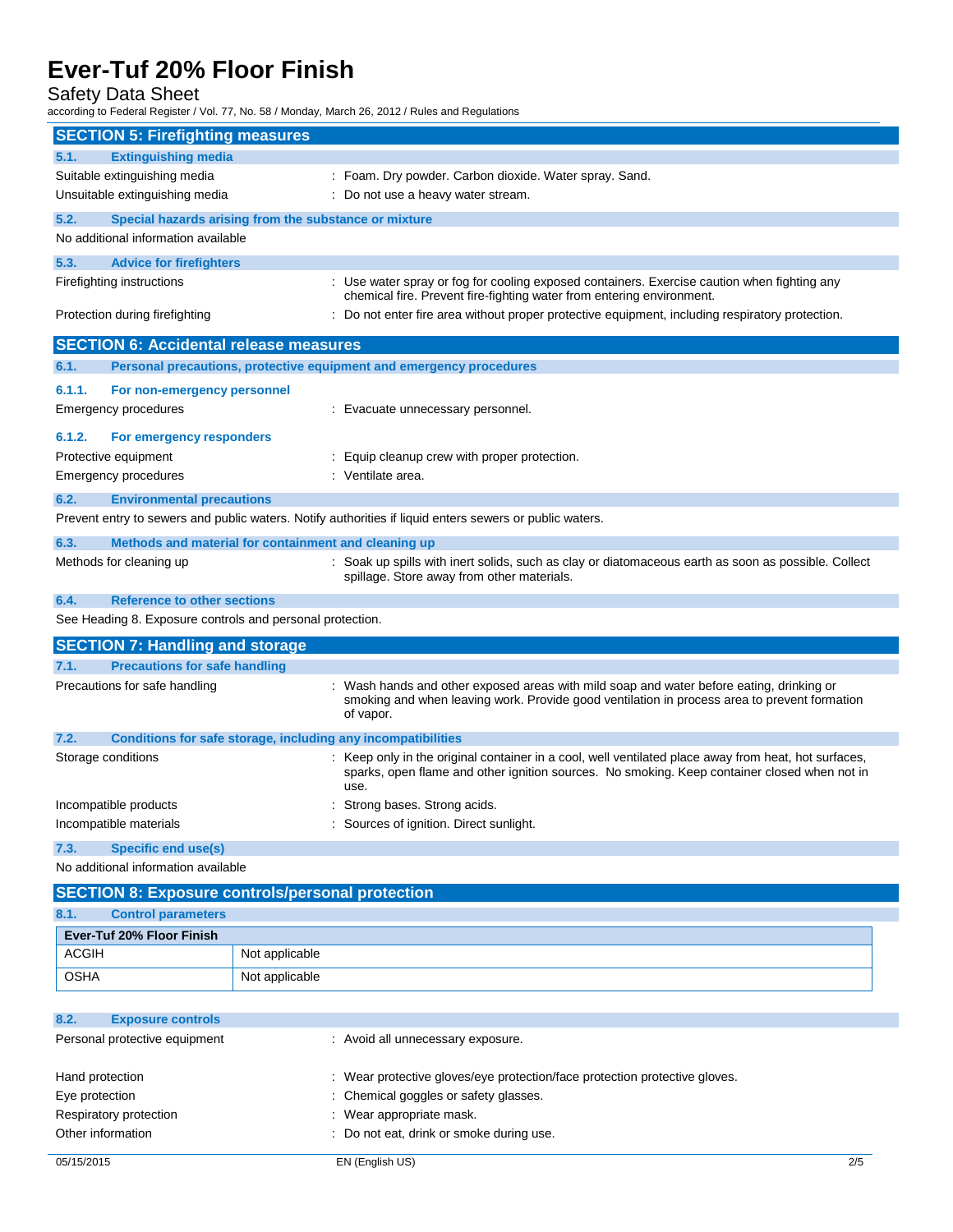Safety Data Sheet

according to Federal Register / Vol. 77, No. 58 / Monday, March 26, 2012 / Rules and Regulations

| <b>SECTION 5: Firefighting measures</b><br><b>Extinguishing media</b><br>5.1.<br>Suitable extinguishing media<br>: Foam. Dry powder. Carbon dioxide. Water spray. Sand.<br>Unsuitable extinguishing media<br>: Do not use a heavy water stream.<br>5.2.<br>Special hazards arising from the substance or mixture<br>No additional information available<br>5.3.<br><b>Advice for firefighters</b><br>Firefighting instructions<br>: Use water spray or fog for cooling exposed containers. Exercise caution when fighting any<br>chemical fire. Prevent fire-fighting water from entering environment.<br>Protection during firefighting<br>: Do not enter fire area without proper protective equipment, including respiratory protection.<br><b>SECTION 6: Accidental release measures</b> |  |  |
|----------------------------------------------------------------------------------------------------------------------------------------------------------------------------------------------------------------------------------------------------------------------------------------------------------------------------------------------------------------------------------------------------------------------------------------------------------------------------------------------------------------------------------------------------------------------------------------------------------------------------------------------------------------------------------------------------------------------------------------------------------------------------------------------|--|--|
|                                                                                                                                                                                                                                                                                                                                                                                                                                                                                                                                                                                                                                                                                                                                                                                              |  |  |
|                                                                                                                                                                                                                                                                                                                                                                                                                                                                                                                                                                                                                                                                                                                                                                                              |  |  |
|                                                                                                                                                                                                                                                                                                                                                                                                                                                                                                                                                                                                                                                                                                                                                                                              |  |  |
|                                                                                                                                                                                                                                                                                                                                                                                                                                                                                                                                                                                                                                                                                                                                                                                              |  |  |
|                                                                                                                                                                                                                                                                                                                                                                                                                                                                                                                                                                                                                                                                                                                                                                                              |  |  |
|                                                                                                                                                                                                                                                                                                                                                                                                                                                                                                                                                                                                                                                                                                                                                                                              |  |  |
|                                                                                                                                                                                                                                                                                                                                                                                                                                                                                                                                                                                                                                                                                                                                                                                              |  |  |
|                                                                                                                                                                                                                                                                                                                                                                                                                                                                                                                                                                                                                                                                                                                                                                                              |  |  |
|                                                                                                                                                                                                                                                                                                                                                                                                                                                                                                                                                                                                                                                                                                                                                                                              |  |  |
| Personal precautions, protective equipment and emergency procedures<br>6.1.                                                                                                                                                                                                                                                                                                                                                                                                                                                                                                                                                                                                                                                                                                                  |  |  |
| 6.1.1.<br>For non-emergency personnel                                                                                                                                                                                                                                                                                                                                                                                                                                                                                                                                                                                                                                                                                                                                                        |  |  |
| Emergency procedures<br>: Evacuate unnecessary personnel.                                                                                                                                                                                                                                                                                                                                                                                                                                                                                                                                                                                                                                                                                                                                    |  |  |
| 6.1.2.<br>For emergency responders                                                                                                                                                                                                                                                                                                                                                                                                                                                                                                                                                                                                                                                                                                                                                           |  |  |
| Protective equipment<br>: Equip cleanup crew with proper protection.                                                                                                                                                                                                                                                                                                                                                                                                                                                                                                                                                                                                                                                                                                                         |  |  |
| : Ventilate area.<br>Emergency procedures                                                                                                                                                                                                                                                                                                                                                                                                                                                                                                                                                                                                                                                                                                                                                    |  |  |
| <b>Environmental precautions</b><br>6.2.                                                                                                                                                                                                                                                                                                                                                                                                                                                                                                                                                                                                                                                                                                                                                     |  |  |
| Prevent entry to sewers and public waters. Notify authorities if liquid enters sewers or public waters.                                                                                                                                                                                                                                                                                                                                                                                                                                                                                                                                                                                                                                                                                      |  |  |
| 6.3.<br>Methods and material for containment and cleaning up                                                                                                                                                                                                                                                                                                                                                                                                                                                                                                                                                                                                                                                                                                                                 |  |  |
| Methods for cleaning up<br>: Soak up spills with inert solids, such as clay or diatomaceous earth as soon as possible. Collect<br>spillage. Store away from other materials.                                                                                                                                                                                                                                                                                                                                                                                                                                                                                                                                                                                                                 |  |  |
| 6.4.<br><b>Reference to other sections</b>                                                                                                                                                                                                                                                                                                                                                                                                                                                                                                                                                                                                                                                                                                                                                   |  |  |
| See Heading 8. Exposure controls and personal protection.                                                                                                                                                                                                                                                                                                                                                                                                                                                                                                                                                                                                                                                                                                                                    |  |  |
| <b>SECTION 7: Handling and storage</b>                                                                                                                                                                                                                                                                                                                                                                                                                                                                                                                                                                                                                                                                                                                                                       |  |  |
| <b>Precautions for safe handling</b><br>7.1.                                                                                                                                                                                                                                                                                                                                                                                                                                                                                                                                                                                                                                                                                                                                                 |  |  |
| Precautions for safe handling<br>: Wash hands and other exposed areas with mild soap and water before eating, drinking or<br>smoking and when leaving work. Provide good ventilation in process area to prevent formation<br>of vapor.                                                                                                                                                                                                                                                                                                                                                                                                                                                                                                                                                       |  |  |
| 7.2.<br>Conditions for safe storage, including any incompatibilities                                                                                                                                                                                                                                                                                                                                                                                                                                                                                                                                                                                                                                                                                                                         |  |  |
| : Keep only in the original container in a cool, well ventilated place away from heat, hot surfaces,<br>Storage conditions<br>sparks, open flame and other ignition sources. No smoking. Keep container closed when not in<br>use.                                                                                                                                                                                                                                                                                                                                                                                                                                                                                                                                                           |  |  |
| Incompatible products<br>Strong bases. Strong acids.                                                                                                                                                                                                                                                                                                                                                                                                                                                                                                                                                                                                                                                                                                                                         |  |  |
| Incompatible materials<br>: Sources of ignition. Direct sunlight.                                                                                                                                                                                                                                                                                                                                                                                                                                                                                                                                                                                                                                                                                                                            |  |  |
| <b>Specific end use(s)</b><br>7.3.                                                                                                                                                                                                                                                                                                                                                                                                                                                                                                                                                                                                                                                                                                                                                           |  |  |
| No additional information available                                                                                                                                                                                                                                                                                                                                                                                                                                                                                                                                                                                                                                                                                                                                                          |  |  |
| <b>SECTION 8: Exposure controls/personal protection</b>                                                                                                                                                                                                                                                                                                                                                                                                                                                                                                                                                                                                                                                                                                                                      |  |  |
| <b>Control parameters</b><br>8.1.                                                                                                                                                                                                                                                                                                                                                                                                                                                                                                                                                                                                                                                                                                                                                            |  |  |
| Ever-Tuf 20% Floor Finish                                                                                                                                                                                                                                                                                                                                                                                                                                                                                                                                                                                                                                                                                                                                                                    |  |  |
| <b>ACGIH</b><br>Not applicable                                                                                                                                                                                                                                                                                                                                                                                                                                                                                                                                                                                                                                                                                                                                                               |  |  |
| <b>OSHA</b><br>Not applicable                                                                                                                                                                                                                                                                                                                                                                                                                                                                                                                                                                                                                                                                                                                                                                |  |  |

| 8.2.<br><b>Exposure controls</b> |                                                                            |
|----------------------------------|----------------------------------------------------------------------------|
| Personal protective equipment    | : Avoid all unnecessary exposure.                                          |
| Hand protection                  | : Wear protective gloves/eye protection/face protection protective gloves. |
| Eye protection                   | : Chemical goggles or safety glasses.                                      |
| Respiratory protection           | Wear appropriate mask.                                                     |
| Other information                | : Do not eat, drink or smoke during use.                                   |
|                                  |                                                                            |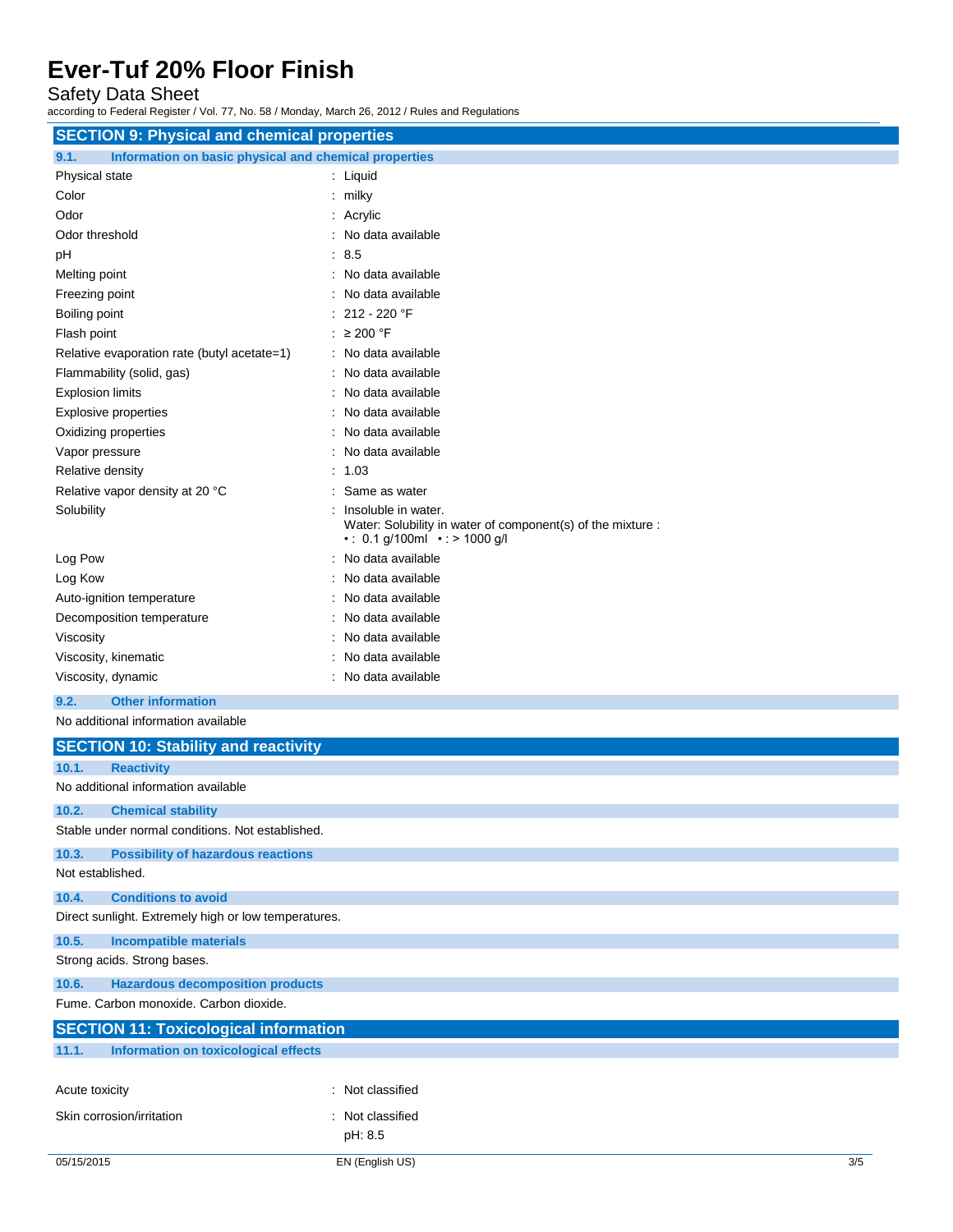Safety Data Sheet

according to Federal Register / Vol. 77, No. 58 / Monday, March 26, 2012 / Rules and Regulations

| <b>SECTION 9: Physical and chemical properties</b>                                     |                                                                                                                  |  |
|----------------------------------------------------------------------------------------|------------------------------------------------------------------------------------------------------------------|--|
| Information on basic physical and chemical properties<br>9.1.                          |                                                                                                                  |  |
| Physical state                                                                         | : Liquid                                                                                                         |  |
| Color                                                                                  | $:$ milky                                                                                                        |  |
| Odor                                                                                   | : Acrylic                                                                                                        |  |
| Odor threshold                                                                         | : No data available                                                                                              |  |
| pH                                                                                     | $\therefore$ 8.5                                                                                                 |  |
| Melting point                                                                          | : No data available                                                                                              |  |
| Freezing point                                                                         | No data available                                                                                                |  |
| Boiling point                                                                          | 212 - 220 °F                                                                                                     |  |
| Flash point                                                                            | : $\geq 200$ °F                                                                                                  |  |
| Relative evaporation rate (butyl acetate=1)                                            | : No data available                                                                                              |  |
| Flammability (solid, gas)                                                              | No data available                                                                                                |  |
| <b>Explosion limits</b>                                                                | No data available                                                                                                |  |
| <b>Explosive properties</b>                                                            | No data available                                                                                                |  |
| Oxidizing properties                                                                   | No data available                                                                                                |  |
| Vapor pressure                                                                         | No data available                                                                                                |  |
| Relative density                                                                       | 1.03                                                                                                             |  |
| Relative vapor density at 20 °C                                                        | Same as water                                                                                                    |  |
| Solubility                                                                             | Insoluble in water.<br>Water: Solubility in water of component(s) of the mixture :<br>• 0.1 g/100ml • > 1000 g/l |  |
| Log Pow                                                                                | No data available                                                                                                |  |
| Log Kow                                                                                | No data available                                                                                                |  |
| Auto-ignition temperature                                                              | No data available                                                                                                |  |
| Decomposition temperature                                                              | No data available                                                                                                |  |
| Viscosity                                                                              | No data available                                                                                                |  |
| Viscosity, kinematic                                                                   | No data available                                                                                                |  |
| Viscosity, dynamic                                                                     | : No data available                                                                                              |  |
| <b>Other information</b><br>9.2.                                                       |                                                                                                                  |  |
| No additional information available                                                    |                                                                                                                  |  |
| <b>SECTION 10: Stability and reactivity</b>                                            |                                                                                                                  |  |
| <b>Reactivity</b><br>10.1.                                                             |                                                                                                                  |  |
| No additional information available                                                    |                                                                                                                  |  |
| 10.2.<br><b>Chemical stability</b><br>Stable under normal conditions. Not established. |                                                                                                                  |  |
| 10.3.<br><b>Possibility of hazardous reactions</b>                                     |                                                                                                                  |  |
| Not established.                                                                       |                                                                                                                  |  |
| 10.4.<br><b>Conditions to avoid</b>                                                    |                                                                                                                  |  |
| Direct sunlight. Extremely high or low temperatures.                                   |                                                                                                                  |  |
| 10.5.<br><b>Incompatible materials</b>                                                 |                                                                                                                  |  |
| Strong acids. Strong bases.                                                            |                                                                                                                  |  |
| 10.6.<br><b>Hazardous decomposition products</b>                                       |                                                                                                                  |  |
| Fume. Carbon monoxide. Carbon dioxide.                                                 |                                                                                                                  |  |
| <b>SECTION 11: Toxicological information</b>                                           |                                                                                                                  |  |
| Information on toxicological effects<br>11.1.                                          |                                                                                                                  |  |
|                                                                                        |                                                                                                                  |  |
| Acute toxicity                                                                         | : Not classified                                                                                                 |  |

pH: 8.5

Skin corrosion/irritation : Not classified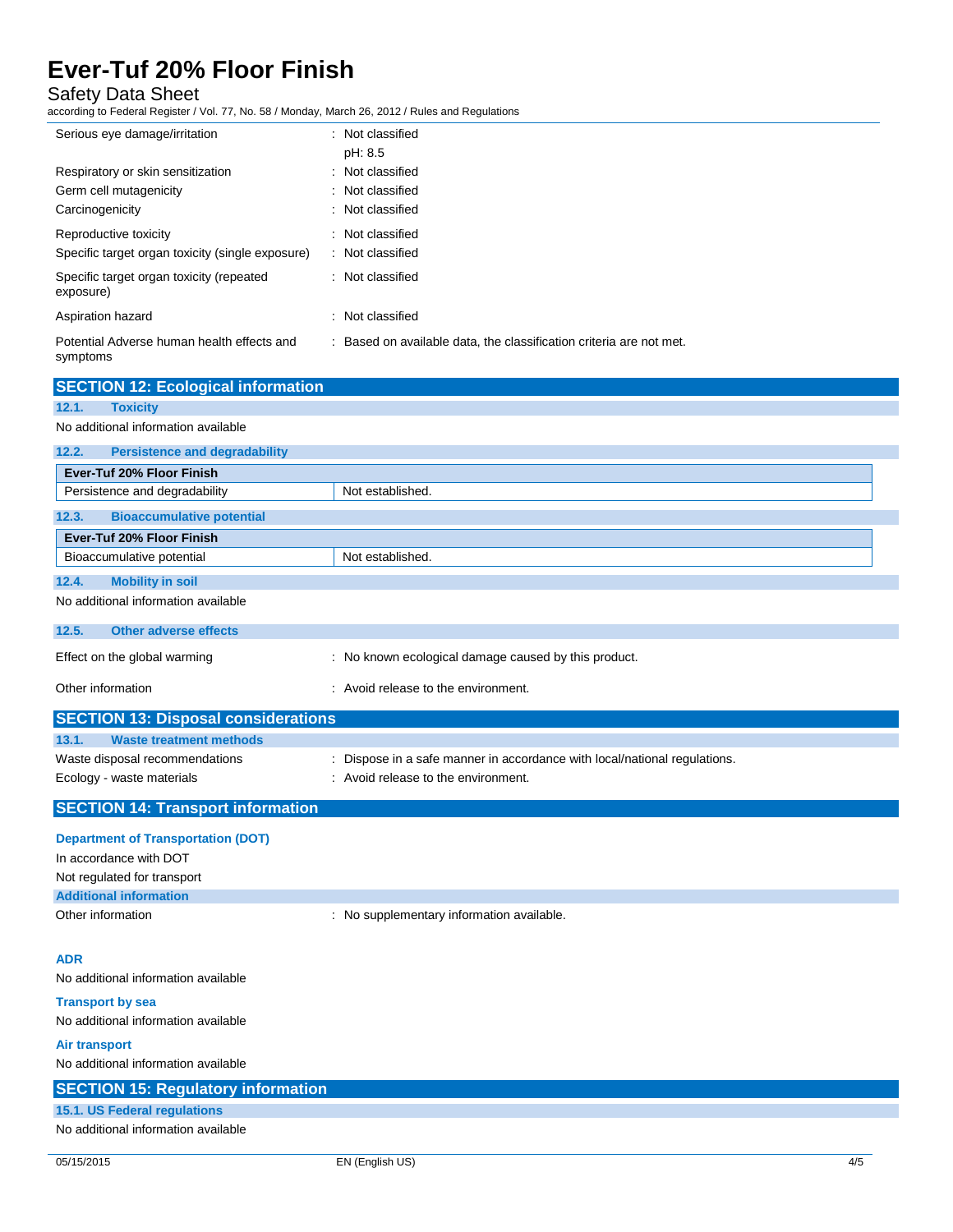Safety Data Sheet

according to Federal Register / Vol. 77, No. 58 / Monday, March 26, 2012 / Rules and Regulations

| Serious eye damage/irritation                                             | : Not classified<br>pH: 8.5                                         |
|---------------------------------------------------------------------------|---------------------------------------------------------------------|
| Respiratory or skin sensitization<br>Germ cell mutagenicity               | : Not classified<br>: Not classified                                |
| Carcinogenicity                                                           | : Not classified                                                    |
| Reproductive toxicity<br>Specific target organ toxicity (single exposure) | : Not classified<br>: Not classified                                |
| Specific target organ toxicity (repeated<br>exposure)                     | : Not classified                                                    |
| Aspiration hazard                                                         | : Not classified                                                    |
| Potential Adverse human health effects and<br>symptoms                    | : Based on available data, the classification criteria are not met. |

| <b>SECTION 12: Ecological information</b>     |                                                                           |
|-----------------------------------------------|---------------------------------------------------------------------------|
| 12.1.<br><b>Toxicity</b>                      |                                                                           |
| No additional information available           |                                                                           |
| 12.2.<br><b>Persistence and degradability</b> |                                                                           |
| Ever-Tuf 20% Floor Finish                     |                                                                           |
| Persistence and degradability                 | Not established.                                                          |
| <b>Bioaccumulative potential</b><br>12.3.     |                                                                           |
| Ever-Tuf 20% Floor Finish                     |                                                                           |
| Bioaccumulative potential                     | Not established.                                                          |
| <b>Mobility in soil</b><br>12.4.              |                                                                           |
| No additional information available           |                                                                           |
| 12.5.<br><b>Other adverse effects</b>         |                                                                           |
| Effect on the global warming                  | : No known ecological damage caused by this product.                      |
| Other information                             | : Avoid release to the environment.                                       |
| <b>SECTION 13: Disposal considerations</b>    |                                                                           |
| <b>Waste treatment methods</b><br>13.1.       |                                                                           |
| Waste disposal recommendations                | : Dispose in a safe manner in accordance with local/national regulations. |
| Ecology - waste materials                     | : Avoid release to the environment.                                       |

**SECTION 14: Transport information**

### **Department of Transportation (DOT)** In accordance with DOT Not regulated for transport **Additional information** Other information **COLOGY CONTERNATION** : No supplementary information available.

#### **ADR**

No additional information available

**Transport by sea** No additional information available

**Air transport** No additional information available

### **SECTION 15: Regulatory information 15.1. US Federal regulations** No additional information available